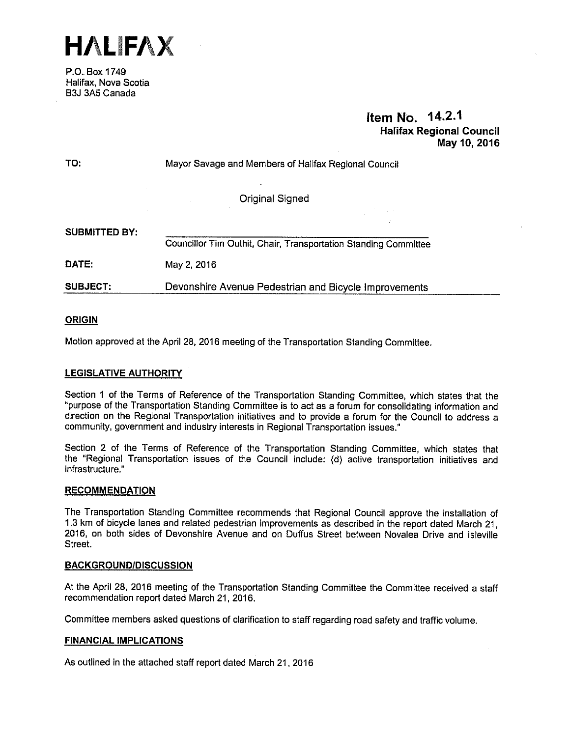

P.O. Box 1749 Halifax, Nova Scotia B3J 3A5 Canada

# Item No. 14.2.1 Halifax Regional Council May 10, 2016

| TO:                  | Mayor Savage and Members of Halifax Regional Council            |
|----------------------|-----------------------------------------------------------------|
|                      | <b>Original Signed</b>                                          |
|                      |                                                                 |
| <b>SUBMITTED BY:</b> |                                                                 |
|                      | Councillor Tim Outhit, Chair, Transportation Standing Committee |
| <b>DATE:</b>         | May 2, 2016                                                     |
| <b>SUBJECT:</b>      | Devonshire Avenue Pedestrian and Bicycle Improvements           |
|                      |                                                                 |

# **ORIGIN**

Motion approved at the April28, 2016 meeting of the Transportation Standing Committee.

# LEGISLATIVE AUTHORITY

Section <sup>1</sup> of the Terms of Reference of the Transportation Standing Committee, which states that the "purpose of the Transportation Standing Committee is to act as a forum for consolidating information and direction on the Regional Transportation initiatives and to provide a forum for the Council to address a community, government and industry interests in Regional Transportation issues."

Section 2 of the Terms of Reference of the Transportation Standing Committee, which states that the "Regional Transportation issues of the Council include: (d) active transportation initiatives and infrastructure."

#### **RECOMMENDATION**

The Transportation Standing Committee recommends that Regional Council approve the installation of 1.3 km of bicycle lanes and related pedestrian improvements as described in the report dated March 21, 2016, on both sides of Devonshire Avenue and on Duffus Street between Novalea Drive and lsleville Street.

## BACKGROUND/DISCUSSION

At the April 28, 2016 meeting of the Transportation Standing Committee the Committee received a staff recommendation report dated March 21, 2016.

Committee members asked questions of clarification to staff regarding road safety and traffic volume.

## FINANCIAL IMPLICATIONS

As outlined in the attached staff report dated March 21, 2016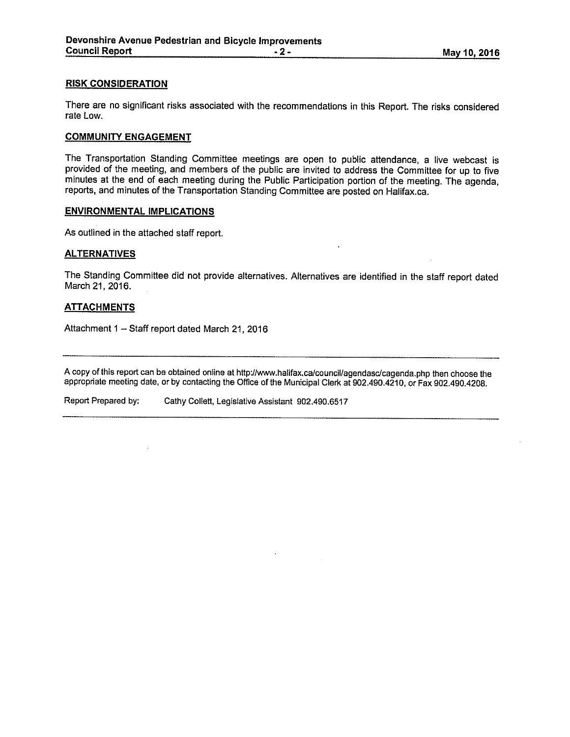#### RISK CONSIDERATION

There are no significant risks associated with the recommendations in this Report. The risks considered rate Low.

#### COMMUNITY ENGAGEMENT

The Transportation Standing Committee meetings are open to public attendance, a live webcast is provided of the meeting, and members of the public are invited to address the Committee for up to five minutes at the end of each meeting during the Public Participation portion of the meeting. The agenda, reports, and minutes of the Transportation Standing Committee are posted on Halifax.ca.

#### ENVIRONMENTAL IMPLICATIONS

As outlined in the attached staff report.

#### **ALTERNATIVES**

The Standing Committee did not provide alternatives. Alternatives are identified in the staff report dated March 21, 2016.

#### **ATTACHMENTS**

Attachment <sup>1</sup> — Staff report dated March 21, 2016

A copy of this report can be obtained online at http://www.halifax.ca/council/agendasc/cagenda.php then choose the appropriate meeting date, or by contacting the Office of the Municipal Clerk at 902.490.4210, or Fax 902.490.4208.

Report Prepared by: Cathy Collett, Legislative Assistant 902.490.6517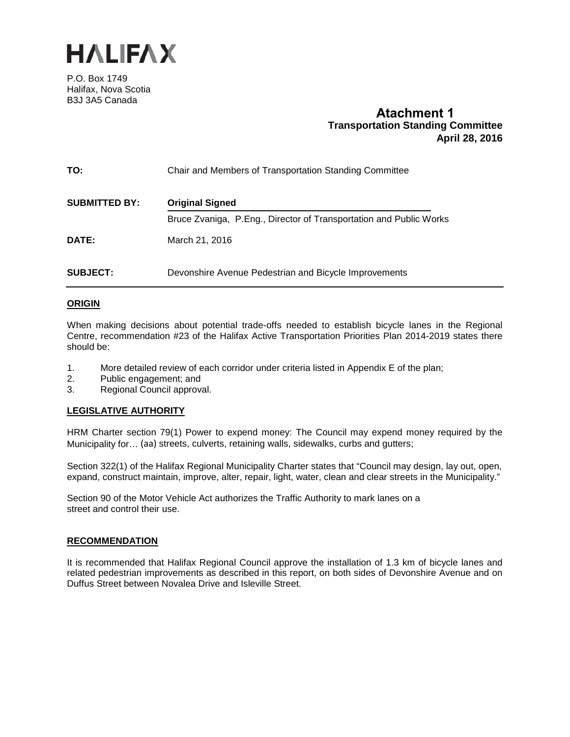

P.O. Box 1749 Halifax, Nova Scotia B3J 3A5 Canada

# **Atachment 1 Transportation Standing Committee April 28, 2016**

| TO:                  | Chair and Members of Transportation Standing Committee             |
|----------------------|--------------------------------------------------------------------|
| <b>SUBMITTED BY:</b> | <b>Original Signed</b>                                             |
|                      | Bruce Zvaniga, P.Eng., Director of Transportation and Public Works |
| <b>DATE:</b>         | March 21, 2016                                                     |
| <b>SUBJECT:</b>      | Devonshire Avenue Pedestrian and Bicycle Improvements              |

## **ORIGIN**

When making decisions about potential trade-offs needed to establish bicycle lanes in the Regional Centre, recommendation #23 of the Halifax Active Transportation Priorities Plan 2014-2019 states there should be:

- 1. More detailed review of each corridor under criteria listed in Appendix E of the plan;<br>2. Public engagement: and
- Public engagement; and
- 3. Regional Council approval.

# **LEGISLATIVE AUTHORITY**

HRM Charter section 79(1) Power to expend money: The Council may expend money required by the Municipality for… (aa) streets, culverts, retaining walls, sidewalks, curbs and gutters;

Section 322(1) of the Halifax Regional Municipality Charter states that "Council may design, lay out, open, expand, construct maintain, improve, alter, repair, light, water, clean and clear streets in the Municipality."

Section 90 of the Motor Vehicle Act authorizes the Traffic Authority to mark lanes on a street and control their use.

## **RECOMMENDATION**

It is recommended that Halifax Regional Council approve the installation of 1.3 km of bicycle lanes and related pedestrian improvements as described in this report, on both sides of Devonshire Avenue and on Duffus Street between Novalea Drive and Isleville Street.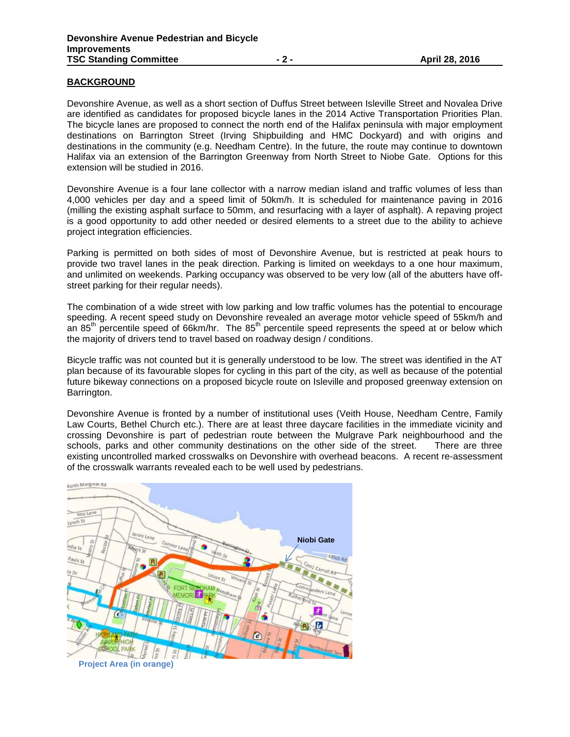# **BACKGROUND**

Devonshire Avenue, as well as a short section of Duffus Street between Isleville Street and Novalea Drive are identified as candidates for proposed bicycle lanes in the 2014 Active Transportation Priorities Plan. The bicycle lanes are proposed to connect the north end of the Halifax peninsula with major employment destinations on Barrington Street (Irving Shipbuilding and HMC Dockyard) and with origins and destinations in the community (e.g. Needham Centre). In the future, the route may continue to downtown Halifax via an extension of the Barrington Greenway from North Street to Niobe Gate. Options for this extension will be studied in 2016.

Devonshire Avenue is a four lane collector with a narrow median island and traffic volumes of less than 4,000 vehicles per day and a speed limit of 50km/h. It is scheduled for maintenance paving in 2016 (milling the existing asphalt surface to 50mm, and resurfacing with a layer of asphalt). A repaving project is a good opportunity to add other needed or desired elements to a street due to the ability to achieve project integration efficiencies.

Parking is permitted on both sides of most of Devonshire Avenue, but is restricted at peak hours to provide two travel lanes in the peak direction. Parking is limited on weekdays to a one hour maximum, and unlimited on weekends. Parking occupancy was observed to be very low (all of the abutters have offstreet parking for their regular needs).

The combination of a wide street with low parking and low traffic volumes has the potential to encourage speeding. A recent speed study on Devonshire revealed an average motor vehicle speed of 55km/h and an 85<sup>th</sup> percentile speed of 66km/hr. The 85<sup>th</sup> percentile speed represents the speed at or below which the majority of drivers tend to travel based on roadway design / conditions.

Bicycle traffic was not counted but it is generally understood to be low. The street was identified in the AT plan because of its favourable slopes for cycling in this part of the city, as well as because of the potential future bikeway connections on a proposed bicycle route on Isleville and proposed greenway extension on Barrington.

Devonshire Avenue is fronted by a number of institutional uses (Veith House, Needham Centre, Family Law Courts, Bethel Church etc.). There are at least three daycare facilities in the immediate vicinity and crossing Devonshire is part of pedestrian route between the Mulgrave Park neighbourhood and the schools, parks and other community destinations on the other side of the street. There are three schools, parks and other community destinations on the other side of the street. existing uncontrolled marked crosswalks on Devonshire with overhead beacons. A recent re-assessment of the crosswalk warrants revealed each to be well used by pedestrians.

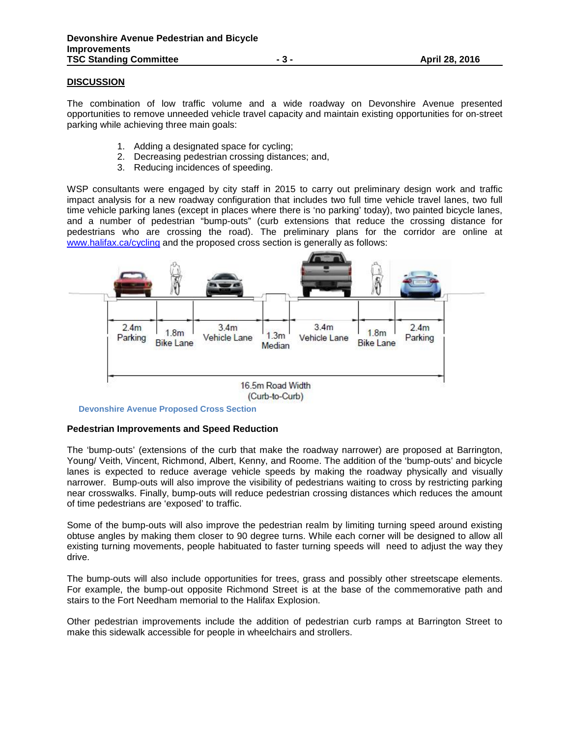## **DISCUSSION**

The combination of low traffic volume and a wide roadway on Devonshire Avenue presented opportunities to remove unneeded vehicle travel capacity and maintain existing opportunities for on-street parking while achieving three main goals:

- 1. Adding a designated space for cycling;
- 2. Decreasing pedestrian crossing distances; and,
- 3. Reducing incidences of speeding.

WSP consultants were engaged by city staff in 2015 to carry out preliminary design work and traffic impact analysis for a new roadway configuration that includes two full time vehicle travel lanes, two full time vehicle parking lanes (except in places where there is 'no parking' today), two painted bicycle lanes, and a number of pedestrian "bump-outs" (curb extensions that reduce the crossing distance for pedestrians who are crossing the road). The preliminary plans for the corridor are online at www.halifax.ca/cycling and the proposed cross section is generally as follows:



**Devonshire Avenue Proposed Cross Section** 

## **Pedestrian Improvements and Speed Reduction**

The 'bump-outs' (extensions of the curb that make the roadway narrower) are proposed at Barrington, Young/ Veith, Vincent, Richmond, Albert, Kenny, and Roome. The addition of the 'bump-outs' and bicycle lanes is expected to reduce average vehicle speeds by making the roadway physically and visually narrower. Bump-outs will also improve the visibility of pedestrians waiting to cross by restricting parking near crosswalks. Finally, bump-outs will reduce pedestrian crossing distances which reduces the amount of time pedestrians are 'exposed' to traffic.

Some of the bump-outs will also improve the pedestrian realm by limiting turning speed around existing obtuse angles by making them closer to 90 degree turns. While each corner will be designed to allow all existing turning movements, people habituated to faster turning speeds will need to adjust the way they drive.

The bump-outs will also include opportunities for trees, grass and possibly other streetscape elements. For example, the bump-out opposite Richmond Street is at the base of the commemorative path and stairs to the Fort Needham memorial to the Halifax Explosion.

Other pedestrian improvements include the addition of pedestrian curb ramps at Barrington Street to make this sidewalk accessible for people in wheelchairs and strollers.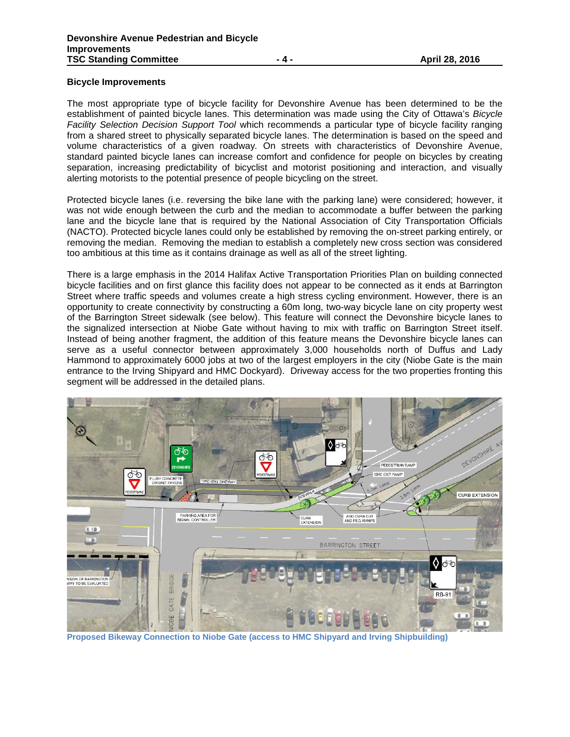## **Bicycle Improvements**

The most appropriate type of bicycle facility for Devonshire Avenue has been determined to be the establishment of painted bicycle lanes. This determination was made using the City of Ottawa's *Bicycle Facility Selection Decision Support Tool* which recommends a particular type of bicycle facility ranging from a shared street to physically separated bicycle lanes. The determination is based on the speed and volume characteristics of a given roadway*.* On streets with characteristics of Devonshire Avenue, standard painted bicycle lanes can increase comfort and confidence for people on bicycles by creating separation, increasing predictability of bicyclist and motorist positioning and interaction, and visually alerting motorists to the potential presence of people bicycling on the street.

Protected bicycle lanes (i.e. reversing the bike lane with the parking lane) were considered; however, it was not wide enough between the curb and the median to accommodate a buffer between the parking lane and the bicycle lane that is required by the National Association of City Transportation Officials (NACTO). Protected bicycle lanes could only be established by removing the on-street parking entirely, or removing the median. Removing the median to establish a completely new cross section was considered too ambitious at this time as it contains drainage as well as all of the street lighting.

There is a large emphasis in the 2014 Halifax Active Transportation Priorities Plan on building connected bicycle facilities and on first glance this facility does not appear to be connected as it ends at Barrington Street where traffic speeds and volumes create a high stress cycling environment. However, there is an opportunity to create connectivity by constructing a 60m long, two-way bicycle lane on city property west of the Barrington Street sidewalk (see below). This feature will connect the Devonshire bicycle lanes to the signalized intersection at Niobe Gate without having to mix with traffic on Barrington Street itself. Instead of being another fragment, the addition of this feature means the Devonshire bicycle lanes can serve as a useful connector between approximately 3,000 households north of Duffus and Lady Hammond to approximately 6000 jobs at two of the largest employers in the city (Niobe Gate is the main entrance to the Irving Shipyard and HMC Dockyard). Driveway access for the two properties fronting this segment will be addressed in the detailed plans.



**Proposed Bikeway Connection to Niobe Gate (access to HMC Shipyard and Irving Shipbuilding)**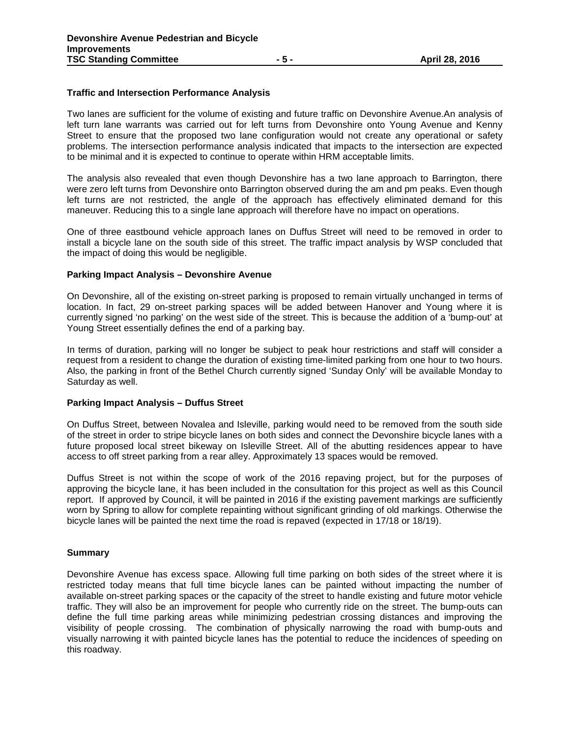# **Traffic and Intersection Performance Analysis**

Two lanes are sufficient for the volume of existing and future traffic on Devonshire Avenue.An analysis of left turn lane warrants was carried out for left turns from Devonshire onto Young Avenue and Kenny Street to ensure that the proposed two lane configuration would not create any operational or safety problems. The intersection performance analysis indicated that impacts to the intersection are expected to be minimal and it is expected to continue to operate within HRM acceptable limits.

The analysis also revealed that even though Devonshire has a two lane approach to Barrington, there were zero left turns from Devonshire onto Barrington observed during the am and pm peaks. Even though left turns are not restricted, the angle of the approach has effectively eliminated demand for this maneuver. Reducing this to a single lane approach will therefore have no impact on operations.

One of three eastbound vehicle approach lanes on Duffus Street will need to be removed in order to install a bicycle lane on the south side of this street. The traffic impact analysis by WSP concluded that the impact of doing this would be negligible.

## **Parking Impact Analysis – Devonshire Avenue**

On Devonshire, all of the existing on-street parking is proposed to remain virtually unchanged in terms of location. In fact, 29 on-street parking spaces will be added between Hanover and Young where it is currently signed 'no parking' on the west side of the street. This is because the addition of a 'bump-out' at Young Street essentially defines the end of a parking bay.

In terms of duration, parking will no longer be subject to peak hour restrictions and staff will consider a request from a resident to change the duration of existing time-limited parking from one hour to two hours. Also, the parking in front of the Bethel Church currently signed 'Sunday Only' will be available Monday to Saturday as well.

## **Parking Impact Analysis – Duffus Street**

On Duffus Street, between Novalea and Isleville, parking would need to be removed from the south side of the street in order to stripe bicycle lanes on both sides and connect the Devonshire bicycle lanes with a future proposed local street bikeway on Isleville Street. All of the abutting residences appear to have access to off street parking from a rear alley. Approximately 13 spaces would be removed.

Duffus Street is not within the scope of work of the 2016 repaving project, but for the purposes of approving the bicycle lane, it has been included in the consultation for this project as well as this Council report. If approved by Council, it will be painted in 2016 if the existing pavement markings are sufficiently worn by Spring to allow for complete repainting without significant grinding of old markings. Otherwise the bicycle lanes will be painted the next time the road is repaved (expected in 17/18 or 18/19).

## **Summary**

Devonshire Avenue has excess space. Allowing full time parking on both sides of the street where it is restricted today means that full time bicycle lanes can be painted without impacting the number of available on-street parking spaces or the capacity of the street to handle existing and future motor vehicle traffic. They will also be an improvement for people who currently ride on the street. The bump-outs can define the full time parking areas while minimizing pedestrian crossing distances and improving the visibility of people crossing. The combination of physically narrowing the road with bump-outs and visually narrowing it with painted bicycle lanes has the potential to reduce the incidences of speeding on this roadway.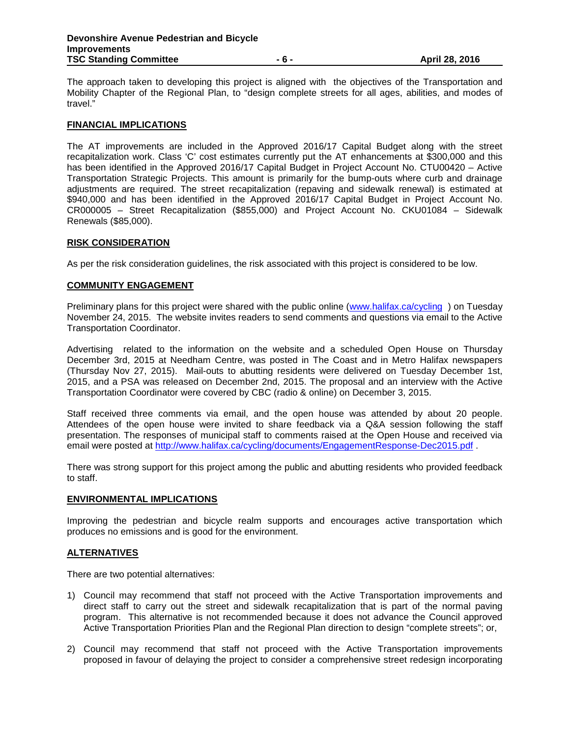The approach taken to developing this project is aligned with the objectives of the Transportation and Mobility Chapter of the Regional Plan, to "design complete streets for all ages, abilities, and modes of travel."

#### **FINANCIAL IMPLICATIONS**

The AT improvements are included in the Approved 2016/17 Capital Budget along with the street recapitalization work. Class 'C' cost estimates currently put the AT enhancements at \$300,000 and this has been identified in the Approved 2016/17 Capital Budget in Project Account No. CTU00420 – Active Transportation Strategic Projects. This amount is primarily for the bump-outs where curb and drainage adjustments are required. The street recapitalization (repaving and sidewalk renewal) is estimated at \$940,000 and has been identified in the Approved 2016/17 Capital Budget in Project Account No. CR000005 – Street Recapitalization (\$855,000) and Project Account No. CKU01084 – Sidewalk Renewals (\$85,000).

#### **RISK CONSIDERATION**

As per the risk consideration guidelines, the risk associated with this project is considered to be low.

#### **COMMUNITY ENGAGEMENT**

Preliminary plans for this project were shared with the public online (www.halifax.ca/cycling) on Tuesday November 24, 2015. The website invites readers to send comments and questions via email to the Active Transportation Coordinator.

Advertising related to the information on the website and a scheduled Open House on Thursday December 3rd, 2015 at Needham Centre, was posted in The Coast and in Metro Halifax newspapers (Thursday Nov 27, 2015). Mail-outs to abutting residents were delivered on Tuesday December 1st, 2015, and a PSA was released on December 2nd, 2015. The proposal and an interview with the Active Transportation Coordinator were covered by CBC (radio & online) on December 3, 2015.

Staff received three comments via email, and the open house was attended by about 20 people. Attendees of the open house were invited to share feedback via a Q&A session following the staff presentation. The responses of municipal staff to comments raised at the Open House and received via email were posted at http://www.halifax.ca/cycling/documents/EngagementResponse-Dec2015.pdf .

There was strong support for this project among the public and abutting residents who provided feedback to staff.

#### **ENVIRONMENTAL IMPLICATIONS**

Improving the pedestrian and bicycle realm supports and encourages active transportation which produces no emissions and is good for the environment.

## **ALTERNATIVES**

There are two potential alternatives:

- 1) Council may recommend that staff not proceed with the Active Transportation improvements and direct staff to carry out the street and sidewalk recapitalization that is part of the normal paving program. This alternative is not recommended because it does not advance the Council approved Active Transportation Priorities Plan and the Regional Plan direction to design "complete streets"; or,
- 2) Council may recommend that staff not proceed with the Active Transportation improvements proposed in favour of delaying the project to consider a comprehensive street redesign incorporating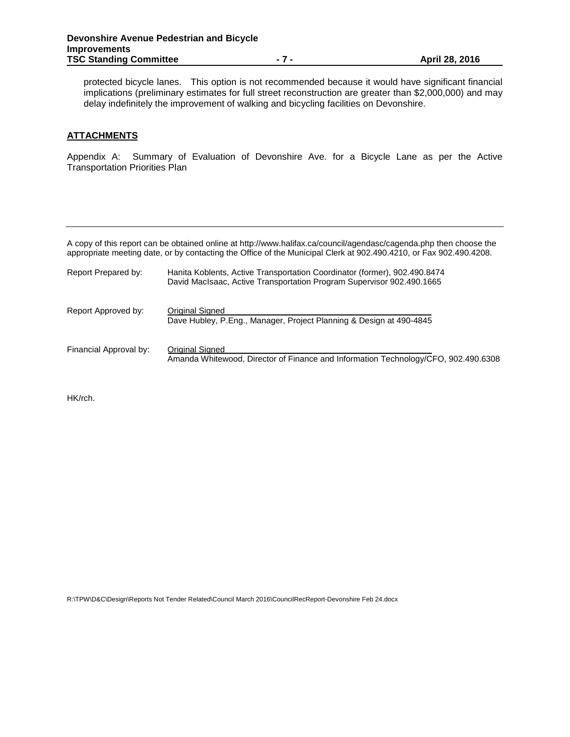protected bicycle lanes. This option is not recommended because it would have significant financial implications (preliminary estimates for full street reconstruction are greater than \$2,000,000) and may delay indefinitely the improvement of walking and bicycling facilities on Devonshire.

# **ATTACHMENTS**

Appendix A: Summary of Evaluation of Devonshire Ave. for a Bicycle Lane as per the Active Transportation Priorities Plan

A copy of this report can be obtained online at http://www.halifax.ca/council/agendasc/cagenda.php then choose the appropriate meeting date, or by contacting the Office of the Municipal Clerk at 902.490.4210, or Fax 902.490.4208.

| Report Prepared by:    | Hanita Koblents, Active Transportation Coordinator (former), 902.490.8474<br>David MacIsaac, Active Transportation Program Supervisor 902.490.1665 |
|------------------------|----------------------------------------------------------------------------------------------------------------------------------------------------|
| Report Approved by:    | Original Signed<br>Dave Hubley, P.Eng., Manager, Project Planning & Design at 490-4845                                                             |
| Financial Approval by: | Original Signed<br>Amanda Whitewood, Director of Finance and Information Technology/CFO, 902.490.6308                                              |

HK/rch.

R:\TPW\D&C\Design\Reports Not Tender Related\Council March 2016\CouncilRecReport-Devonshire Feb 24.docx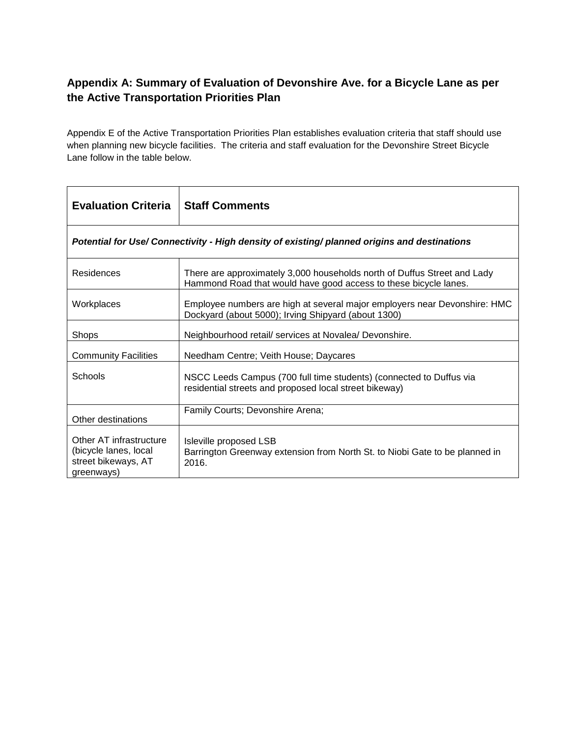# **Appendix A: Summary of Evaluation of Devonshire Ave. for a Bicycle Lane as per the Active Transportation Priorities Plan**

Appendix E of the Active Transportation Priorities Plan establishes evaluation criteria that staff should use when planning new bicycle facilities. The criteria and staff evaluation for the Devonshire Street Bicycle Lane follow in the table below.

| <b>Evaluation Criteria</b>                                                                   | <b>Staff Comments</b>                                                                                                                        |  |
|----------------------------------------------------------------------------------------------|----------------------------------------------------------------------------------------------------------------------------------------------|--|
| Potential for Use/ Connectivity - High density of existing/ planned origins and destinations |                                                                                                                                              |  |
| <b>Residences</b>                                                                            | There are approximately 3,000 households north of Duffus Street and Lady<br>Hammond Road that would have good access to these bicycle lanes. |  |
| Workplaces                                                                                   | Employee numbers are high at several major employers near Devonshire: HMC<br>Dockyard (about 5000); Irving Shipyard (about 1300)             |  |
| <b>Shops</b>                                                                                 | Neighbourhood retail/ services at Novalea/ Devonshire.                                                                                       |  |
| <b>Community Facilities</b>                                                                  | Needham Centre; Veith House; Daycares                                                                                                        |  |
| Schools                                                                                      | NSCC Leeds Campus (700 full time students) (connected to Duffus via<br>residential streets and proposed local street bikeway)                |  |
| Other destinations                                                                           | Family Courts; Devonshire Arena;                                                                                                             |  |
| Other AT infrastructure<br>(bicycle lanes, local<br>street bikeways, AT<br>greenways)        | Isleville proposed LSB<br>Barrington Greenway extension from North St. to Niobi Gate to be planned in<br>2016.                               |  |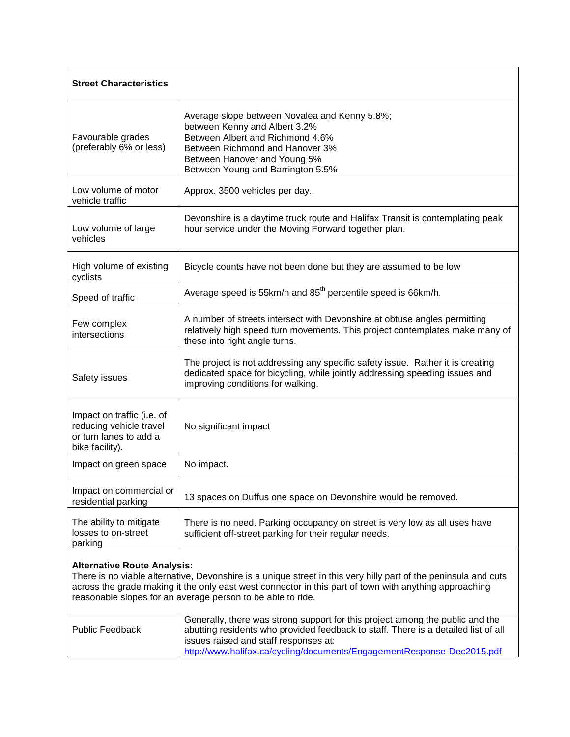| <b>Street Characteristics</b>                                                                                                                                                                                                                                                                                                  |                                                                                                                                                                                                                                                                                        |  |
|--------------------------------------------------------------------------------------------------------------------------------------------------------------------------------------------------------------------------------------------------------------------------------------------------------------------------------|----------------------------------------------------------------------------------------------------------------------------------------------------------------------------------------------------------------------------------------------------------------------------------------|--|
| Favourable grades<br>(preferably 6% or less)                                                                                                                                                                                                                                                                                   | Average slope between Novalea and Kenny 5.8%;<br>between Kenny and Albert 3.2%<br>Between Albert and Richmond 4.6%<br>Between Richmond and Hanover 3%<br>Between Hanover and Young 5%<br>Between Young and Barrington 5.5%                                                             |  |
| Low volume of motor<br>vehicle traffic                                                                                                                                                                                                                                                                                         | Approx. 3500 vehicles per day.                                                                                                                                                                                                                                                         |  |
| Low volume of large<br>vehicles                                                                                                                                                                                                                                                                                                | Devonshire is a daytime truck route and Halifax Transit is contemplating peak<br>hour service under the Moving Forward together plan.                                                                                                                                                  |  |
| High volume of existing<br>cyclists                                                                                                                                                                                                                                                                                            | Bicycle counts have not been done but they are assumed to be low                                                                                                                                                                                                                       |  |
| Speed of traffic                                                                                                                                                                                                                                                                                                               | Average speed is 55km/h and 85 <sup>th</sup> percentile speed is 66km/h.                                                                                                                                                                                                               |  |
| Few complex<br>intersections                                                                                                                                                                                                                                                                                                   | A number of streets intersect with Devonshire at obtuse angles permitting<br>relatively high speed turn movements. This project contemplates make many of<br>these into right angle turns.                                                                                             |  |
| Safety issues                                                                                                                                                                                                                                                                                                                  | The project is not addressing any specific safety issue. Rather it is creating<br>dedicated space for bicycling, while jointly addressing speeding issues and<br>improving conditions for walking.                                                                                     |  |
| Impact on traffic (i.e. of<br>reducing vehicle travel<br>or turn lanes to add a<br>bike facility).                                                                                                                                                                                                                             | No significant impact                                                                                                                                                                                                                                                                  |  |
| Impact on green space                                                                                                                                                                                                                                                                                                          | No impact.                                                                                                                                                                                                                                                                             |  |
| Impact on commercial or<br>residential parking                                                                                                                                                                                                                                                                                 | 13 spaces on Duffus one space on Devonshire would be removed.                                                                                                                                                                                                                          |  |
| The ability to mitigate<br>losses to on-street<br>parking                                                                                                                                                                                                                                                                      | There is no need. Parking occupancy on street is very low as all uses have<br>sufficient off-street parking for their regular needs.                                                                                                                                                   |  |
| <b>Alternative Route Analysis:</b><br>There is no viable alternative, Devonshire is a unique street in this very hilly part of the peninsula and cuts<br>across the grade making it the only east west connector in this part of town with anything approaching<br>reasonable slopes for an average person to be able to ride. |                                                                                                                                                                                                                                                                                        |  |
| <b>Public Feedback</b>                                                                                                                                                                                                                                                                                                         | Generally, there was strong support for this project among the public and the<br>abutting residents who provided feedback to staff. There is a detailed list of all<br>issues raised and staff responses at:<br>http://www.halifax.ca/cycling/documents/EngagementResponse-Dec2015.pdf |  |